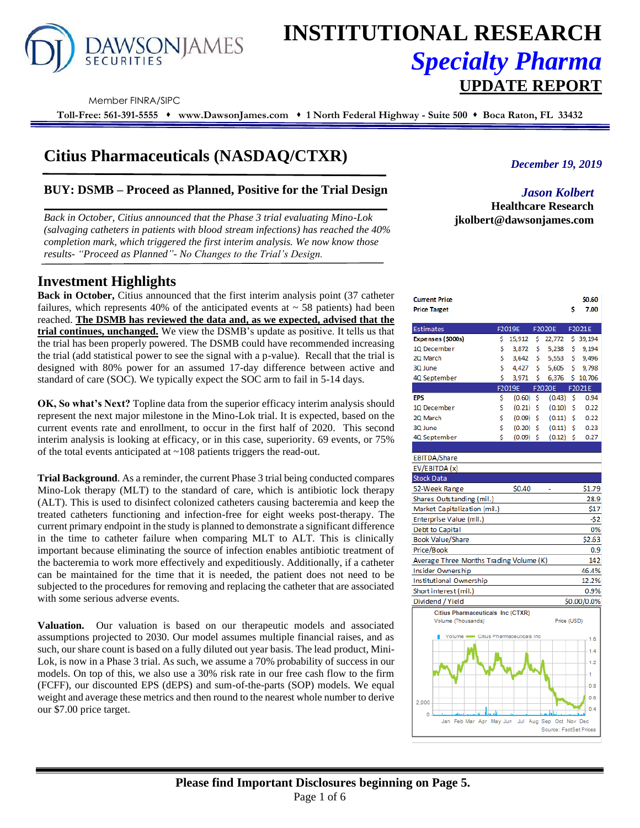

# **INSTITUTIONAL RESEARCH** *Specialty Pharma*  **UPDATE REPORT**

Company Builds

Member FINRA/SIPC

**Toll-Free: 561-391-5555** ⬧ **www.DawsonJames.com** ⬧ **1 North Federal Highway - Suite 500** ⬧ **Boca Raton, FL 33432**

# **Citius Pharmaceuticals (NASDAQ/CTXR)**

# **BUY: DSMB – Proceed as Planned, Positive for the Trial Design**

*Back in October, Citius announced that the Phase 3 trial evaluating Mino-Lok (salvaging catheters in patients with blood stream infections) has reached the 40% completion mark, which triggered the first interim analysis. We now know those results- "Proceed as Planned"- No Changes to the Trial's Design.*

# **Investment Highlights**

**Back in October,** Citius announced that the first interim analysis point (37 catheter failures, which represents 40% of the anticipated events at  $\sim$  58 patients) had been reached. **The DSMB has reviewed the data and, as we expected, advised that the trial continues, unchanged.** We view the DSMB's update as positive. It tells us that the trial has been properly powered. The DSMB could have recommended increasing the trial (add statistical power to see the signal with a p-value). Recall that the trial is designed with 80% power for an assumed 17-day difference between active and standard of care (SOC). We typically expect the SOC arm to fail in 5-14 days.

**OK, So what's Next?** Topline data from the superior efficacy interim analysis should represent the next major milestone in the Mino-Lok trial. It is expected, based on the current events rate and enrollment, to occur in the first half of 2020. This second interim analysis is looking at efficacy, or in this case, superiority. 69 events, or 75% of the total events anticipated at ~108 patients triggers the read-out.

**Trial Background**. As a reminder, the current Phase 3 trial being conducted compares Mino-Lok therapy (MLT) to the standard of care, which is antibiotic lock therapy (ALT). This is used to disinfect colonized catheters causing bacteremia and keep the treated catheters functioning and infection-free for eight weeks post-therapy. The current primary endpoint in the study is planned to demonstrate a significant difference in the time to catheter failure when comparing MLT to ALT. This is clinically important because eliminating the source of infection enables antibiotic treatment of the bacteremia to work more effectively and expeditiously. Additionally, if a catheter can be maintained for the time that it is needed, the patient does not need to be subjected to the procedures for removing and replacing the catheter that are associated with some serious adverse events.

**Valuation.** Our valuation is based on our therapeutic models and associated assumptions projected to 2030. Our model assumes multiple financial raises, and as such, our share count is based on a fully diluted out year basis. The lead product, Mini-Lok, is now in a Phase 3 trial. As such, we assume a 70% probability of success in our models. On top of this, we also use a 30% risk rate in our free cash flow to the firm (FCFF), our discounted EPS (dEPS) and sum-of-the-parts (SOP) models. We equal weight and average these metrics and then round to the nearest whole number to derive our \$7.00 price target.

*December 19, 2019*

en co

*Jason Kolbert* **Healthcare Research jkolbert@dawsonjames.com**

| שיו כוונ דוועכ                           |    |             |    |                        |    | טטוע,       |
|------------------------------------------|----|-------------|----|------------------------|----|-------------|
| <b>Price Target</b>                      |    |             |    |                        | s  | 7.00        |
| Estimates                                |    | F2019E      |    | F2020E                 |    | F2021E      |
| Expenses (\$000s)                        | s  | 15,912      | S  | 22,772                 |    | \$ 39,194   |
| 10 December                              | \$ | 3,872       | \$ | 5,238                  | \$ | 9,194       |
| 2Q March                                 | Ś  | 3,642       | s  | 5,553                  | S  | 9,496       |
| 3Q June                                  | Ś  | 4,427       | Ś  | 5,605                  | Ś  | 9,798       |
| 4Q September                             | Ś  | 3,971       | \$ | 6,376                  |    | \$10,706    |
|                                          |    | F2019E      |    | F2020E                 |    | F2021E      |
| <b>FPS</b>                               | \$ | (0.60)      | s  | (0.43)                 | S  | 0.94        |
| 10 December                              | Ś  | $(0.21)$ \$ |    | (0.10)                 | S  | 0.22        |
| 2Q March                                 | \$ | $(0.09)$ \$ |    | (0.11)                 | Ś  | 0.22        |
| 3Q June                                  | Ś  | $(0.20)$ \$ |    | (0.11)                 | Ś  | 0.23        |
| 4Q September                             | Ś  | $(0.09)$ S  |    | $(0.12)$ \$            |    | 0.27        |
|                                          |    |             |    |                        |    |             |
| <b>EBITDA/Share</b>                      |    |             |    |                        |    |             |
| EV/EBITDA (x)                            |    |             |    |                        |    |             |
| <b>Stock Data</b>                        |    |             |    |                        |    |             |
| 52-Week Range                            |    | \$0.40      |    |                        |    | \$1.79      |
| Shares Outstanding (mil.)                |    |             |    |                        |    | 28.9        |
| Market Capitalization (mil.)             |    |             |    |                        |    | \$17        |
| Enterprise Value (mil.)                  |    |             |    |                        |    | $-52$       |
| Debt to Capital                          |    |             |    |                        |    | 0%          |
| <b>Book Value/Share</b>                  |    |             |    |                        |    | \$2.63      |
| Price/Book                               |    |             |    |                        |    | 0.9         |
| Average Three Months Trading Volume (K)  |    |             |    |                        |    | 142         |
| Insider Ownership                        |    |             |    |                        |    | 46.4%       |
| Institutional Ownership                  |    |             |    |                        |    | 12.2%       |
| Short interest (mil.)                    |    |             |    |                        |    | 0.9%        |
| Dividend / Yield                         |    |             |    |                        |    | \$0.00/0.0% |
| <b>Citius Pharmaceuticals Inc (CTXR)</b> |    |             |    |                        |    |             |
| Volume (Thousands)                       |    |             |    | Price (USD)            |    |             |
| Volume - Citius Pharmaceuticals Inc      |    |             |    |                        |    | 1.6         |
|                                          |    |             |    |                        |    |             |
|                                          |    |             |    |                        |    | 1.4         |
|                                          |    |             |    |                        |    | 1.2         |
|                                          |    |             |    |                        |    | 1           |
|                                          |    |             |    |                        |    | 0.8         |
|                                          |    |             |    |                        |    | 0.6         |
| 2,000                                    |    |             |    |                        |    | 0.4         |
| Ō<br>Feb Mar Apr May Jun<br>Jan          |    | Jul         |    | Aug Sep Oct Nov Dec    |    |             |
|                                          |    |             |    | Source: FactSet Prices |    |             |
|                                          |    |             |    |                        |    |             |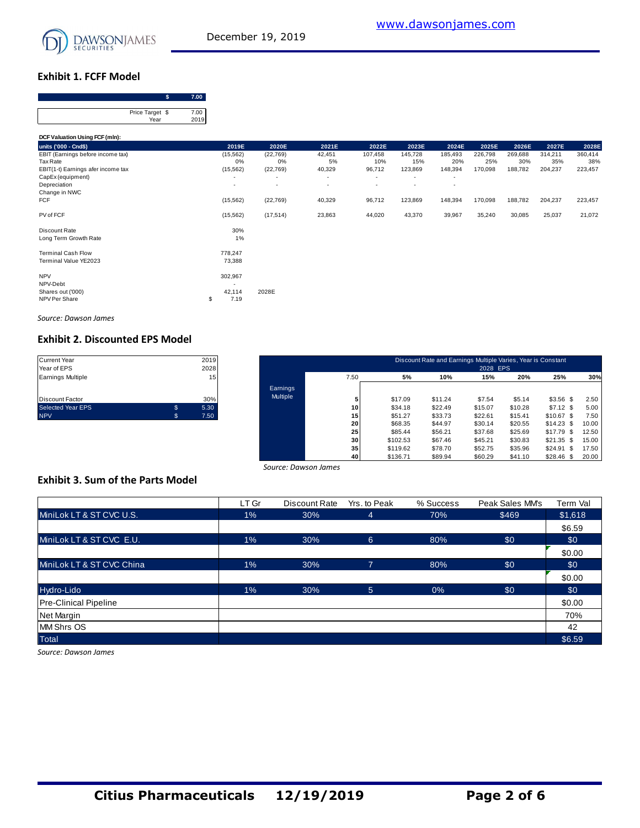

## **Exhibit 1. FCFF Model**

| Price Target \$ |  |
|-----------------|--|
| Year            |  |

| Price Target \$<br>Year                                                                    | 7.00<br>2019 |                                                       |                              |                        |                          |                           |                               |                           |                           |                           |                           |
|--------------------------------------------------------------------------------------------|--------------|-------------------------------------------------------|------------------------------|------------------------|--------------------------|---------------------------|-------------------------------|---------------------------|---------------------------|---------------------------|---------------------------|
| DCF Valuation Using FCF (mln):                                                             |              |                                                       |                              |                        |                          |                           |                               |                           |                           |                           |                           |
| units ('000 - Cnd\$)                                                                       |              | 2019E                                                 | 2020E                        | 2021E                  | 2022E                    | 2023E                     | 2024E                         | 2025E                     | 2026E                     | 2027E                     | 2028E                     |
| EBIT (Earnings before income tax)<br><b>Tax Rate</b><br>EBIT(1-t) Earnings afer income tax |              | (15, 562)<br>0%<br>(15, 562)                          | (22, 769)<br>0%<br>(22, 769) | 42,451<br>5%<br>40,329 | 107,458<br>10%<br>96,712 | 145,728<br>15%<br>123,869 | 185,493<br>20%<br>148,394     | 226,798<br>25%<br>170,098 | 269,688<br>30%<br>188,782 | 314,211<br>35%<br>204,237 | 360,414<br>38%<br>223,457 |
| CapEx (equipment)<br>Depreciation<br>Change in NWC                                         |              | $\overline{\phantom{a}}$                              | ٠                            | ٠<br>٠                 | ٠<br>٠                   | ٠<br>٠                    | ٠<br>$\overline{\phantom{a}}$ |                           |                           |                           |                           |
| <b>FCF</b>                                                                                 |              | (15, 562)                                             | (22, 769)                    | 40,329                 | 96,712                   | 123,869                   | 148,394                       | 170,098                   | 188,782                   | 204,237                   | 223,457                   |
| PV of FCF                                                                                  |              | (15, 562)                                             | (17, 514)                    | 23,863                 | 44,020                   | 43,370                    | 39,967                        | 35,240                    | 30,085                    | 25,037                    | 21,072                    |
| Discount Rate<br>Long Term Growth Rate                                                     |              | 30%<br>1%                                             |                              |                        |                          |                           |                               |                           |                           |                           |                           |
| <b>Terminal Cash Flow</b><br>Terminal Value YE2023                                         |              | 778,247<br>73,388                                     |                              |                        |                          |                           |                               |                           |                           |                           |                           |
| <b>NPV</b><br>NPV-Debt<br>Shares out ('000)<br>NPV Per Share                               | \$           | 302,967<br>$\overline{\phantom{a}}$<br>42,114<br>7.19 | 2028E                        |                        |                          |                           |                               |                           |                           |                           |                           |

*Source: Dawson James*

# **Exhibit 2. Discounted EPS Model**

| <b>Current Year</b>      |   | 2019 |
|--------------------------|---|------|
| Year of EPS              |   | 2028 |
| <b>Earnings Multiple</b> |   | 15   |
|                          |   |      |
|                          |   |      |
| <b>Discount Factor</b>   |   | 30%  |
| <b>Selected Year EPS</b> | S | 5.30 |
| <b>NPV</b>               |   | 7.50 |

| Current Year<br>Year of EPS |    | 2019<br>2028    |          |      |          | Discount Rate and Earnings Multiple Varies, Year is Constant | 2028 EPS |         |               |       |
|-----------------------------|----|-----------------|----------|------|----------|--------------------------------------------------------------|----------|---------|---------------|-------|
| Earnings Multiple           |    | 15 <sub>1</sub> |          | 7.50 | 5%       | 10%                                                          | 15%      | 20%     | 25%           | 30%   |
|                             |    |                 | Earnings |      |          |                                                              |          |         |               |       |
| Discount Factor             |    | 30%             | Multiple |      | \$17.09  | \$11.24                                                      | \$7.54   | \$5.14  | $$3.56$ \$    | 2.50  |
| Selected Year EPS           | \$ | 5.30            |          | 10   | \$34.18  | \$22.49                                                      | \$15.07  | \$10.28 | $$7.12$ \$    | 5.00  |
| <b>NPV</b>                  | s. | 7.50            |          | 15   | \$51.27  | \$33.73                                                      | \$22.61  | \$15.41 | $$10.67$ \$   | 7.50  |
|                             |    |                 |          | 20   | \$68.35  | \$44.97                                                      | \$30.14  | \$20.55 | $$14.23$ \$   | 10.00 |
|                             |    |                 |          | 25   | \$85.44  | \$56.21                                                      | \$37.68  | \$25.69 | $$17.79$ \$   | 12.50 |
|                             |    |                 |          | 30   | \$102.53 | \$67.46                                                      | \$45.21  | \$30.83 | $$21.35$ \$   | 15.00 |
|                             |    |                 |          | 35   | \$119.62 | \$78.70                                                      | \$52.75  | \$35.96 | \$24.91<br>-S | 17.50 |
|                             |    |                 |          | 40   | \$136.71 | \$89.94                                                      | \$60.29  | \$41.10 | $$28.46$ \$   | 20.00 |

#### **Exhibit 3. Sum of the Parts Model**

|                                          |       | Source: Dawson James |                |           |                 |          |
|------------------------------------------|-------|----------------------|----------------|-----------|-----------------|----------|
| <b>Exhibit 3. Sum of the Parts Model</b> |       |                      |                |           |                 |          |
|                                          | LT Gr | Discount Rate        | Yrs. to Peak   | % Success | Peak Sales MM's | Term Val |
| MiniLok LT & ST CVC U.S.                 | $1\%$ | 30%                  | 4              | 70%       | \$469           | \$1,618  |
|                                          |       |                      |                |           |                 | \$6.59   |
| MiniLok LT & ST CVC E.U.                 | $1\%$ | 30%                  | $6^{\circ}$    | 80%       | \$0             | \$0      |
|                                          |       |                      |                |           |                 | \$0.00   |
| MiniLok LT & ST CVC China                | $1\%$ | 30%                  | 7              | 80%       | \$0             | \$0      |
|                                          |       |                      |                |           |                 | \$0.00   |
| Hydro-Lido                               | $1\%$ | 30%                  | 5 <sup>5</sup> | 0%        | \$0             | \$0      |
| <b>Pre-Clinical Pipeline</b>             |       |                      |                |           |                 | \$0.00   |
| Net Margin                               |       |                      |                |           |                 | 70%      |
| MM Shrs OS                               |       |                      |                |           |                 | 42       |
| <b>Total</b>                             |       |                      |                |           |                 | \$6.59   |

*Source: Dawson James*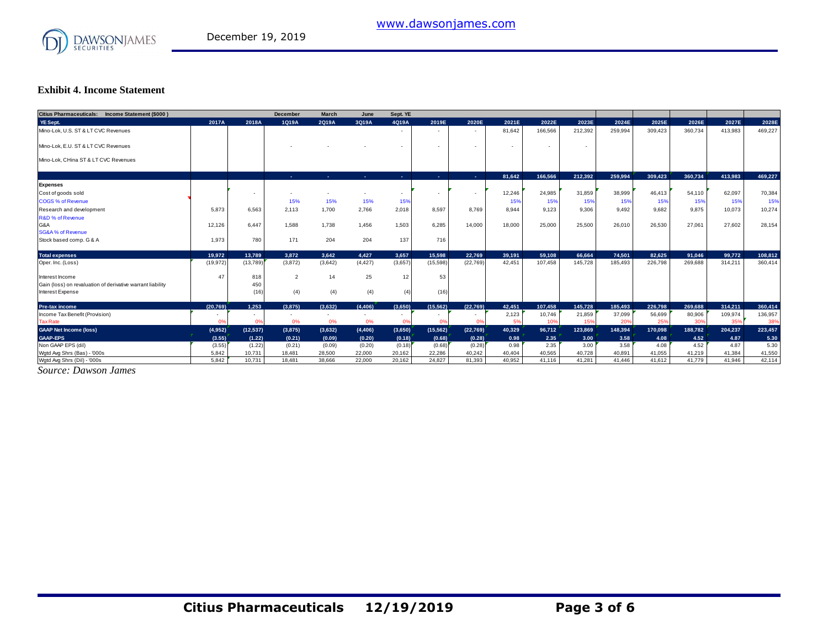

## **Exhibit 4. Income Statement**

| Citius Pharmaceuticals: Income Statement (\$000)           |           |           | <b>December</b>          | <b>March</b>   | June      | Sept. YE                 |                |                          |                          |         |         |         |         |         |         |         |
|------------------------------------------------------------|-----------|-----------|--------------------------|----------------|-----------|--------------------------|----------------|--------------------------|--------------------------|---------|---------|---------|---------|---------|---------|---------|
| YE Sept.                                                   | 2017A     | 2018A     | 1Q19A                    | 2Q19A          | 3Q19A     | 4Q19A                    | 2019E          | 2020E                    | 2021E                    | 2022E   | 2023E   | 2024E   | 2025E   | 2026E   | 2027E   | 2028E   |
| Mino-Lok, U.S. ST & LT CVC Revenues                        |           |           |                          |                |           |                          | $\sim$         |                          | 81,642                   | 166,566 | 212,392 | 259.994 | 309,423 | 360,734 | 413,983 | 469,227 |
| Mino-Lok, E.U. ST & LT CVC Revenues                        |           |           | $\overline{\phantom{a}}$ |                |           | $\overline{\phantom{a}}$ | $\sim$         | $\overline{\phantom{a}}$ | $\overline{\phantom{a}}$ | $\sim$  |         |         |         |         |         |         |
| Mino-Lok, CHina ST & LT CVC Revenues                       |           |           |                          |                |           |                          |                |                          |                          |         |         |         |         |         |         |         |
|                                                            |           |           | <b>Section</b>           | <b>Section</b> | $\sim 10$ | <b>Section</b>           | <b>Section</b> | <b>ALC</b>               | 81.642                   | 166.566 | 212.392 | 259.994 | 309.423 | 360.734 | 413.983 | 469,227 |
| <b>Expenses</b>                                            |           |           |                          |                |           |                          |                |                          |                          |         |         |         |         |         |         |         |
| Cost of goods sold                                         |           |           | $\sim$                   |                |           | $\overline{\phantom{a}}$ |                | $\overline{\phantom{a}}$ | 12,246                   | 24,985  | 31,859  | 38,999  | 46,413  | 54,110  | 62,097  | 70,384  |
| <b>COGS % of Revenue</b>                                   |           |           | 15%                      | 15%            | 15%       | 15%                      |                |                          | 15%                      | 15%     | 15%     | 15%     | 15%     | 15%     | 15%     | 15%     |
| Research and development                                   | 5.873     | 6.563     | 2.113                    | 1.700          | 2,766     | 2,018                    | 8,597          | 8.769                    | 8.944                    | 9.123   | 9.306   | 9.492   | 9.682   | 9.875   | 10,073  | 10,274  |
| <b>R&amp;D % of Revenue</b>                                |           |           |                          |                |           |                          |                |                          |                          |         |         |         |         |         |         |         |
| G&A                                                        | 12,126    | 6.447     | 1,588                    | 1,738          | 1,456     | 1,503                    | 6,285          | 14.000                   | 18,000                   | 25,000  | 25,500  | 26,010  | 26,530  | 27.061  | 27,602  | 28,154  |
| <b>SG&amp;A % of Revenue</b>                               |           |           |                          |                |           |                          |                |                          |                          |         |         |         |         |         |         |         |
| Stock based comp. G & A                                    | 1.973     | 780       | 171                      | 204            | 204       | 137                      | 716            |                          |                          |         |         |         |         |         |         |         |
| <b>Total expenses</b>                                      | 19.972    | 13.789    | 3.872                    | 3.642          | 4.427     | 3.657                    | 15.598         | 22.769                   | 39.191                   | 59.108  | 66.664  | 74.501  | 82.625  | 91.046  | 99.772  | 108,812 |
| Oper. Inc. (Loss)                                          | (19, 972) | (13,789)  | (3,872)                  | (3,642)        | (4, 427)  | (3,657)                  | (15, 598)      | (22,769)                 | 42,451                   | 107.458 | 145.728 | 185,493 | 226,798 | 269,688 | 314,211 | 360,414 |
| Interest Income                                            | 47        | 818       | $\overline{2}$           | 14             | 25        | 12                       | 53             |                          |                          |         |         |         |         |         |         |         |
| Gain (loss) on revaluation of derivative warrant liability |           | 450       |                          |                |           |                          |                |                          |                          |         |         |         |         |         |         |         |
| Interest Expense                                           |           | (16)      | (4)                      | (4)            | (4)       | (4)                      | (16)           |                          |                          |         |         |         |         |         |         |         |
| <b>Pre-tax income</b>                                      | (20.769)  | 1.253     | (3,875)                  | (3.632)        | (4, 406)  | (3,650)                  | (15, 562)      | (22.769)                 | 42.451                   | 107.458 | 145.728 | 185,493 | 226.798 | 269.688 | 314.211 | 360,414 |
| Income Tax Benefit (Provision)                             |           | $\sim$    | $\sim$                   | ٠              | $\sim$    | $\overline{\phantom{a}}$ | $\sim$         | $\sim$                   | 2,123                    | 10,746  | 21,859  | 37,099  | 56,699  | 80,906  | 109,974 | 136,957 |
| <b>Tax Rate</b>                                            | 0%        | 0%        | 0%                       | 0%             | 0%        | 0%                       | 0 <sup>9</sup> | 0%                       | 5%                       | 10%     | 15%     | 20%     | 25%     | 30%     | 35%     | 38%     |
| <b>GAAP Net Income (loss)</b>                              | (4,952)   | (12, 537) | (3,875)                  | (3,632)        | (4, 406)  | (3,650)                  | (15, 562)      | (22,769)                 | 40,329                   | 96,712  | 123,869 | 148,394 | 170,098 | 188,782 | 204,237 | 223,457 |
| <b>GAAP-EPS</b>                                            | (3.55)    | (1.22)    | (0.21)                   | (0.09)         | (0.20)    | (0.18)                   | (0.68)         | (0.28)                   | 0.98                     | 2.35    | 3.00    | 3.58    | 4.08    | 4.52    | 4.87    | 5.30    |
| Non GAAP EPS (dil)                                         | (3.55)    | (1.22)    | (0.21)                   | (0.09)         | (0.20)    | (0.18)                   | (0.68)         | (0.28)                   | 0.98                     | 2.35    | 3.00    | 3.58    | 4.08    | 4.52    | 4.87    | 5.30    |
| Watd Ava Shrs (Bas) - '000s                                | 5.842     | 10.731    | 18.481                   | 28.500         | 22,000    | 20,162                   | 22,286         | 40.242                   | 40.404                   | 40.565  | 40.728  | 40.891  | 41.055  | 41.219  | 41.384  | 41,550  |
| Wgtd Avg Shrs (Dil) - '000s                                | 5.842     | 10,731    | 18.481                   | 38,666         | 22,000    | 20,162                   | 24.827         | 81.393                   | 40,952                   | 41,116  | 41,281  | 41,446  | 41.612  | 41.779  | 41.946  | 42,114  |

*Source: Dawson James*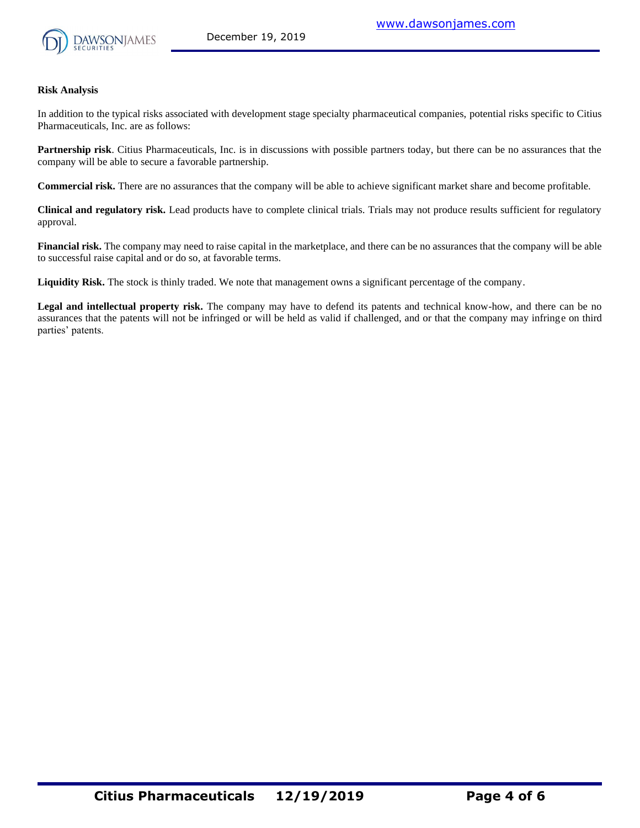

#### **Risk Analysis**

In addition to the typical risks associated with development stage specialty pharmaceutical companies, potential risks specific to Citius Pharmaceuticals, Inc. are as follows:

**Partnership risk**. Citius Pharmaceuticals, Inc. is in discussions with possible partners today, but there can be no assurances that the company will be able to secure a favorable partnership.

**Commercial risk.** There are no assurances that the company will be able to achieve significant market share and become profitable.

**Clinical and regulatory risk.** Lead products have to complete clinical trials. Trials may not produce results sufficient for regulatory approval.

**Financial risk.** The company may need to raise capital in the marketplace, and there can be no assurances that the company will be able to successful raise capital and or do so, at favorable terms.

**Liquidity Risk.** The stock is thinly traded. We note that management owns a significant percentage of the company.

**Legal and intellectual property risk.** The company may have to defend its patents and technical know-how, and there can be no assurances that the patents will not be infringed or will be held as valid if challenged, and or that the company may infringe on third parties' patents.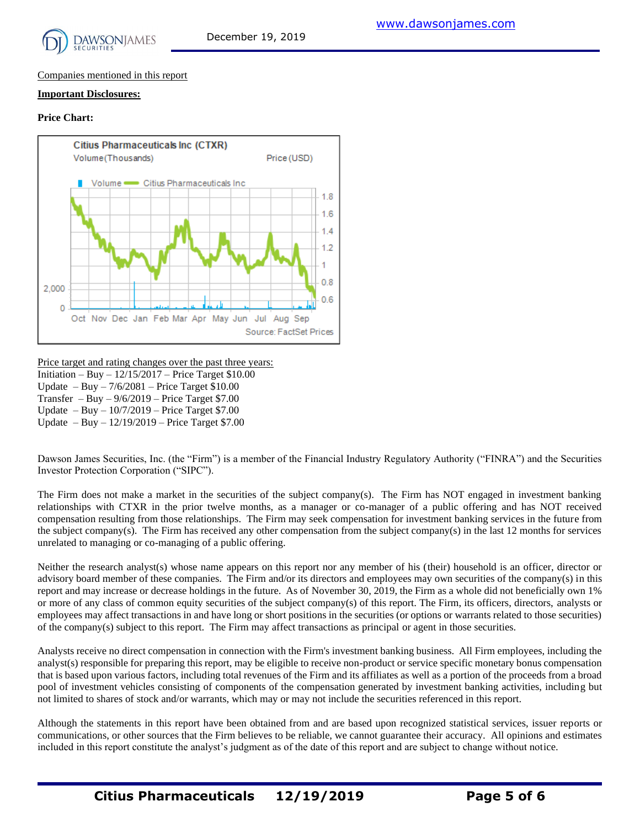

#### Companies mentioned in this report

#### **Important Disclosures:**

#### **Price Chart:**



Price target and rating changes over the past three years: Initiation – Buy – 12/15/2017 – Price Target \$10.00 Update – Buy –  $7/6/2081$  – Price Target \$10.00 Transfer – Buy –  $9/6/2019$  – Price Target \$7.00 Update – Buy – 10/7/2019 – Price Target \$7.00 Update – Buy – 12/19/2019 – Price Target \$7.00

Dawson James Securities, Inc. (the "Firm") is a member of the Financial Industry Regulatory Authority ("FINRA") and the Securities Investor Protection Corporation ("SIPC").

The Firm does not make a market in the securities of the subject company(s). The Firm has NOT engaged in investment banking relationships with CTXR in the prior twelve months, as a manager or co-manager of a public offering and has NOT received compensation resulting from those relationships. The Firm may seek compensation for investment banking services in the future from the subject company(s). The Firm has received any other compensation from the subject company(s) in the last 12 months for services unrelated to managing or co-managing of a public offering.

Neither the research analyst(s) whose name appears on this report nor any member of his (their) household is an officer, director or advisory board member of these companies. The Firm and/or its directors and employees may own securities of the company(s) in this report and may increase or decrease holdings in the future. As of November 30, 2019, the Firm as a whole did not beneficially own 1% or more of any class of common equity securities of the subject company(s) of this report. The Firm, its officers, directors, analysts or employees may affect transactions in and have long or short positions in the securities (or options or warrants related to those securities) of the company(s) subject to this report. The Firm may affect transactions as principal or agent in those securities.

Analysts receive no direct compensation in connection with the Firm's investment banking business. All Firm employees, including the analyst(s) responsible for preparing this report, may be eligible to receive non-product or service specific monetary bonus compensation that is based upon various factors, including total revenues of the Firm and its affiliates as well as a portion of the proceeds from a broad pool of investment vehicles consisting of components of the compensation generated by investment banking activities, including but not limited to shares of stock and/or warrants, which may or may not include the securities referenced in this report.

Although the statements in this report have been obtained from and are based upon recognized statistical services, issuer reports or communications, or other sources that the Firm believes to be reliable, we cannot guarantee their accuracy. All opinions and estimates included in this report constitute the analyst's judgment as of the date of this report and are subject to change without notice.